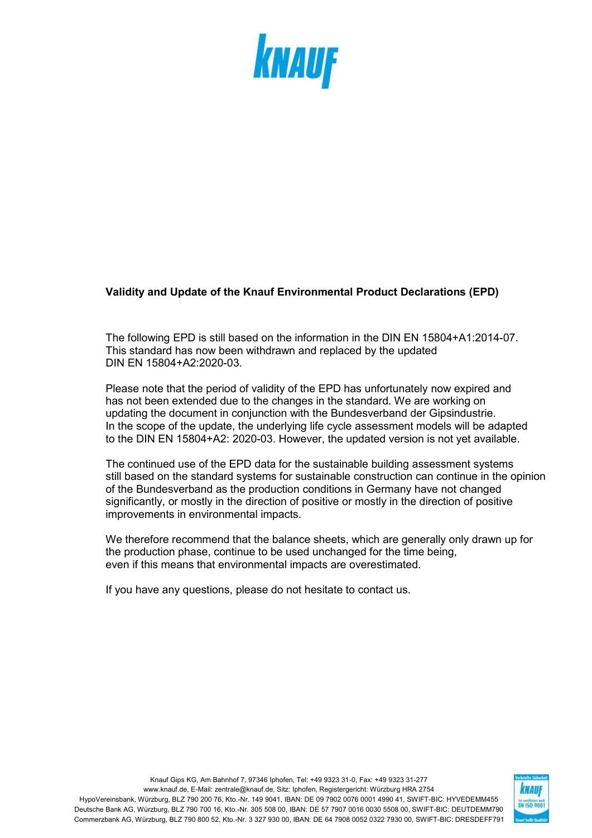

## **Validity and Update of the Knauf Environmental Product Declarations (EPD)**

The following EPD is still based on the information in the DIN EN 15804+A1:2014-07. This standard has now been withdrawn and replaced by the updated DIN EN 15804+A2:2020-03.

Please note that the period of validity of the EPD has unfortunately now expired and has not been extended due to the changes in the standard. We are working on updating the document in conjunction with the Bundesverband der Gipsindustrie. In the scope of the update, the underlying life cycle assessment models will be adapted to the DIN EN 15804+A2: 2020-03. However, the updated version is not yet available.

The continued use of the EPD data for the sustainable building assessment systems still based on the standard systems for sustainable construction can continue in the opinion of the Bundesverband as the production conditions in Germany have not changed significantly, or mostly in the direction of positive or mostly in the direction of positive improvements in environmental impacts.

We therefore recommend that the balance sheets, which are generally only drawn up for the production phase, continue to be used unchanged for the time being, even if this means that environmental impacts are overestimated.

If you have any questions, please do not hesitate to contact us.

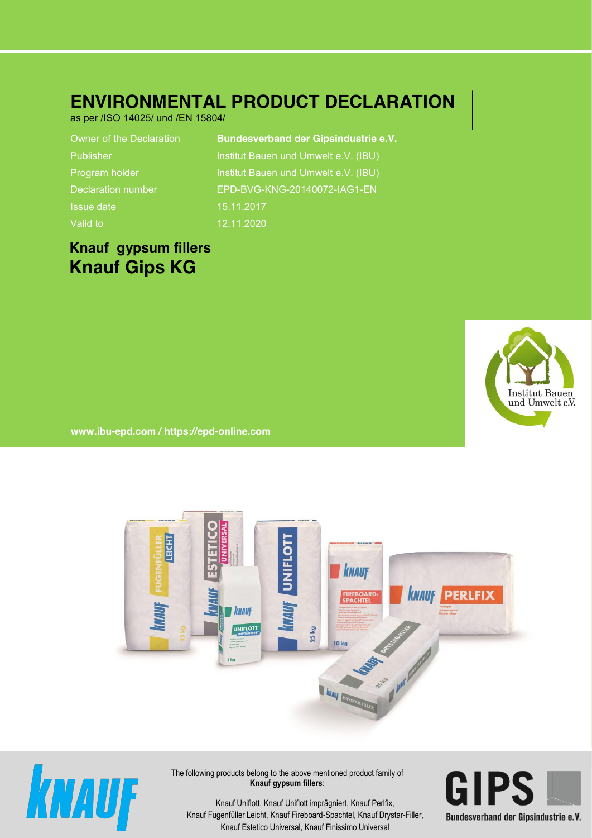# **ENVIRONMENTAL PRODUCT DECLARATION**

as per /ISO 14025/ und /EN 15804/

| Owner of the Declaration | <b>Bundesverband der Gipsindustrie e.V.</b> |
|--------------------------|---------------------------------------------|
| Publisher                | Institut Bauen und Umwelt e.V. (IBU)        |
| Program holder           | Institut Bauen und Umwelt e.V. (IBU)        |
| Declaration number       | EPD-BVG-KNG-20140072-IAG1-EN                |
| <b>Issue date</b>        | 15.11.2017                                  |
| Valid to                 | 12.11.2020                                  |

## **Knauf gypsum fillers Knauf Gips KG**



**www. ibu-epd.com / https://epd-online.com**





The following products belong to the above mentioned product family of **Knauf gypsum fillers**:



Knauf Fugenfüller Leicht, Knauf Fireboard-Spachtel, Knauf Drystar-Filler, **Bundesverband der Gips** Knauf Uniflott, Knauf Uniflott imprägniert, Knauf Perlfix, Knauf Estetico Universal, Knauf Finissimo Universal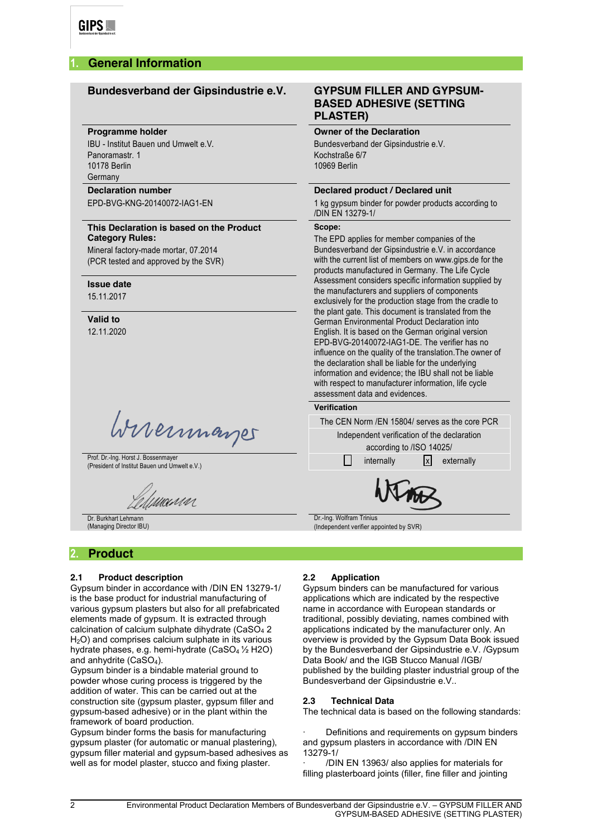## **1. General Information**

## **Bundesverband der Gipsindustrie e.V. GYPSUM FILLER AND GYPSUM-**

#### **Programme holder**

IBU - Institut Bauen und Umwelt e.V. Panoramastr. 1 10178 Berlin Germany

#### **Declaration number**

EPD-BVG-KNG-20140072-IAG1-EN

#### **This Declaration is based on the Product Category Rules:**

Mineral factory-made mortar, 07.2014 (PCR tested and approved by the SVR)

#### **Issue date**

15.11.2017

#### **Valid to** 12.11.2020

Wireinmarger

Prof. Dr.-Ing. Horst J. Bossenmayer (President of Institut Bauen und Umwelt e.V.)

urun

Dr. Burkhart Lehmann (Managing Director IBU)

## **2. Product**

#### **2.1 Product description**

Gypsum binder in accordance with /DIN EN 13279-1/ is the base product for industrial manufacturing of various gypsum plasters but also for all prefabricated elements made of gypsum. It is extracted through calcination of calcium sulphate dihydrate (CaSO $_4$  2 H<sub>2</sub>O) and comprises calcium sulphate in its various hydrate phases, e.g. hemi-hydrate (CaSO4 ½ H2O) and anhydrite (CaSO4).

Gypsum binder is a bindable material ground to powder whose curing process is triggered by the addition of water. This can be carried out at the construction site (gypsum plaster, gypsum filler and gypsum-based adhesive) or in the plant within the framework of board production.

Gypsum binder forms the basis for manufacturing gypsum plaster (for automatic or manual plastering), gypsum filler material and gypsum-based adhesives as well as for model plaster, stucco and fixing plaster.

## **BASED ADHESIVE (SETTING PLASTER)**

#### **Owner of the Declaration**

Bundesverband der Gipsindustrie e.V. Kochstraße 6/7 10969 Berlin

#### **Declared product / Declared unit**

1 kg gypsum binder for powder products according to /DIN EN 13279-1/

## **Scope:**

The EPD applies for member companies of the Bundesverband der Gipsindustrie e.V. in accordance with the current list of members on www.gips.de for the products manufactured in Germany. The Life Cycle Assessment considers specific information supplied by the manufacturers and suppliers of components exclusively for the production stage from the cradle to the plant gate. This document is translated from the German Environmental Product Declaration into English. It is based on the German original version EPD-BVG-20140072-IAG1-DE. The verifier has no influence on the quality of the translation.The owner of the declaration shall be liable for the underlying information and evidence; the IBU shall not be liable with respect to manufacturer information, life cycle assessment data and evidences.

#### **Verification**

| The CEN Norm /EN 15804/ serves as the core PCR                          |  |  |  |  |  |  |
|-------------------------------------------------------------------------|--|--|--|--|--|--|
| Independent verification of the declaration<br>according to /ISO 14025/ |  |  |  |  |  |  |
| $ x $ externally<br>internally                                          |  |  |  |  |  |  |
|                                                                         |  |  |  |  |  |  |
| Dr.-Ing. Wolfram Trinius                                                |  |  |  |  |  |  |

(Independent verifier appointed by SVR)

### **2.2 Application**

Gypsum binders can be manufactured for various applications which are indicated by the respective name in accordance with European standards or traditional, possibly deviating, names combined with applications indicated by the manufacturer only. An overview is provided by the Gypsum Data Book issued by the Bundesverband der Gipsindustrie e.V. /Gypsum Data Book/ and the IGB Stucco Manual /IGB/ published by the building plaster industrial group of the Bundesverband der Gipsindustrie e.V..

#### **2.3 Technical Data**

The technical data is based on the following standards:

Definitions and requirements on gypsum binders and gypsum plasters in accordance with /DIN EN 13279-1/

· /DIN EN 13963/ also applies for materials for filling plasterboard joints (filler, fine filler and jointing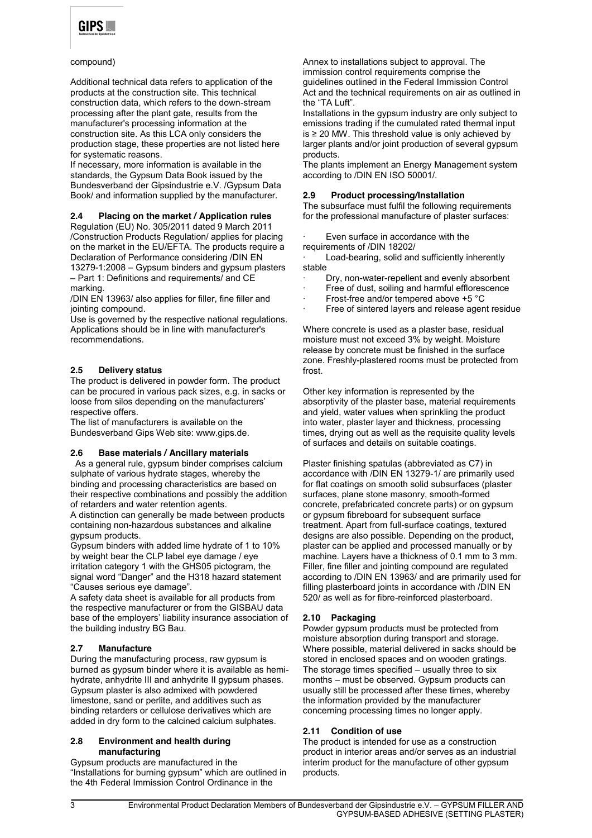

#### compound)

Additional technical data refers to application of the products at the construction site. This technical construction data, which refers to the down-stream processing after the plant gate, results from the manufacturer's processing information at the construction site. As this LCA only considers the production stage, these properties are not listed here for systematic reasons.

If necessary, more information is available in the standards, the Gypsum Data Book issued by the Bundesverband der Gipsindustrie e.V. /Gypsum Data Book/ and information supplied by the manufacturer.

#### **2.4 Placing on the market / Application rules**

Regulation (EU) No. 305/2011 dated 9 March 2011 /Construction Products Regulation/ applies for placing on the market in the EU/EFTA. The products require a Declaration of Performance considering /DIN EN 13279-1:2008 – Gypsum binders and gypsum plasters

– Part 1: Definitions and requirements/ and CE marking.

/DIN EN 13963/ also applies for filler, fine filler and jointing compound.

Use is governed by the respective national regulations. Applications should be in line with manufacturer's recommendations.

#### **2.5 Delivery status**

The product is delivered in powder form. The product can be procured in various pack sizes, e.g. in sacks or loose from silos depending on the manufacturers' respective offers.

The list of manufacturers is available on the Bundesverband Gips Web site: www.gips.de.

#### **2.6 Base materials / Ancillary materials**

As a general rule, gypsum binder comprises calcium sulphate of various hydrate stages, whereby the binding and processing characteristics are based on their respective combinations and possibly the addition of retarders and water retention agents.

A distinction can generally be made between products containing non-hazardous substances and alkaline gypsum products.

Gypsum binders with added lime hydrate of 1 to 10% by weight bear the CLP label eye damage / eye irritation category 1 with the GHS05 pictogram, the signal word "Danger" and the H318 hazard statement "Causes serious eye damage".

A safety data sheet is available for all products from the respective manufacturer or from the GISBAU data base of the employers' liability insurance association of the building industry BG Bau.

#### **2.7 Manufacture**

During the manufacturing process, raw gypsum is burned as gypsum binder where it is available as hemihydrate, anhydrite III and anhydrite II gypsum phases. Gypsum plaster is also admixed with powdered limestone, sand or perlite, and additives such as binding retarders or cellulose derivatives which are added in dry form to the calcined calcium sulphates.

#### **2.8 Environment and health during manufacturing**

Gypsum products are manufactured in the "Installations for burning gypsum" which are outlined in the 4th Federal Immission Control Ordinance in the

Annex to installations subject to approval. The immission control requirements comprise the guidelines outlined in the Federal Immission Control Act and the technical requirements on air as outlined in the "TA Luft".

Installations in the gypsum industry are only subject to emissions trading if the cumulated rated thermal input is ≥ 20 MW. This threshold value is only achieved by larger plants and/or joint production of several gypsum products.

The plants implement an Energy Management system according to /DIN EN ISO 50001/.

#### **2.9 Product processing/Installation**

The subsurface must fulfil the following requirements for the professional manufacture of plaster surfaces:

Even surface in accordance with the requirements of /DIN 18202/

Load-bearing, solid and sufficiently inherently stable

- Dry, non-water-repellent and evenly absorbent
- Free of dust, soiling and harmful efflorescence
- Frost-free and/or tempered above +5 °C
- Free of sintered layers and release agent residue

Where concrete is used as a plaster base, residual moisture must not exceed 3% by weight. Moisture release by concrete must be finished in the surface zone. Freshly-plastered rooms must be protected from frost.

Other key information is represented by the absorptivity of the plaster base, material requirements and yield, water values when sprinkling the product into water, plaster layer and thickness, processing times, drying out as well as the requisite quality levels of surfaces and details on suitable coatings.

Plaster finishing spatulas (abbreviated as C7) in accordance with /DIN EN 13279-1/ are primarily used for flat coatings on smooth solid subsurfaces (plaster surfaces, plane stone masonry, smooth-formed concrete, prefabricated concrete parts) or on gypsum or gypsum fibreboard for subsequent surface treatment. Apart from full-surface coatings, textured designs are also possible. Depending on the product, plaster can be applied and processed manually or by machine. Layers have a thickness of 0.1 mm to 3 mm. Filler, fine filler and jointing compound are regulated according to /DIN EN 13963/ and are primarily used for filling plasterboard joints in accordance with /DIN EN 520/ as well as for fibre-reinforced plasterboard.

#### **2.10 Packaging**

Powder gypsum products must be protected from moisture absorption during transport and storage. Where possible, material delivered in sacks should be stored in enclosed spaces and on wooden gratings. The storage times specified – usually three to six months – must be observed. Gypsum products can usually still be processed after these times, whereby the information provided by the manufacturer concerning processing times no longer apply.

#### **2.11 Condition of use**

The product is intended for use as a construction product in interior areas and/or serves as an industrial interim product for the manufacture of other gypsum products.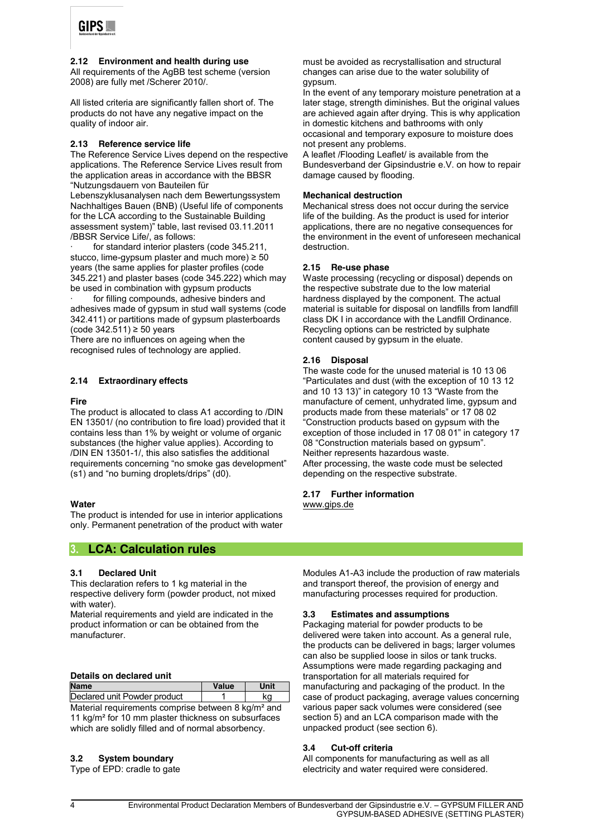

**2.12 Environment and health during use** All requirements of the AgBB test scheme (version 2008) are fully met /Scherer 2010/.

All listed criteria are significantly fallen short of. The products do not have any negative impact on the quality of indoor air.

#### **2.13 Reference service life**

The Reference Service Lives depend on the respective applications. The Reference Service Lives result from the application areas in accordance with the BBSR "Nutzungsdauern von Bauteilen für

Lebenszyklusanalysen nach dem Bewertungssystem Nachhaltiges Bauen (BNB) (Useful life of components for the LCA according to the Sustainable Building assessment system)" table, last revised 03.11.2011 /BBSR Service Life/, as follows:

for standard interior plasters (code 345.211, stucco, lime-gypsum plaster and much more)  $\geq 50$ years (the same applies for plaster profiles (code 345.221) and plaster bases (code 345.222) which may be used in combination with gypsum products

for filling compounds, adhesive binders and adhesives made of gypsum in stud wall systems (code 342.411) or partitions made of gypsum plasterboards (code 342.511) ≥ 50 years

There are no influences on ageing when the recognised rules of technology are applied.

#### **2.14 Extraordinary effects**

#### **Fire**

The product is allocated to class A1 according to /DIN EN 13501/ (no contribution to fire load) provided that it contains less than 1% by weight or volume of organic substances (the higher value applies). According to /DIN EN 13501-1/, this also satisfies the additional requirements concerning "no smoke gas development" (s1) and "no burning droplets/drips" (d0).

#### **Water**

The product is intended for use in interior applications only. Permanent penetration of the product with water

### **3. LCA: Calculation rules**

#### **3.1 Declared Unit**

This declaration refers to 1 kg material in the respective delivery form (powder product, not mixed with water).

Material requirements and yield are indicated in the product information or can be obtained from the manufacturer.

#### **Details on declared unit**

| <b>Name</b>                                                                                                                                     | Value | <b>Unit</b> |  |  |  |  |  |
|-------------------------------------------------------------------------------------------------------------------------------------------------|-------|-------------|--|--|--|--|--|
| Declared unit Powder product                                                                                                                    |       | ka          |  |  |  |  |  |
| Material requirements comprise between 8 kg/m <sup>2</sup> and<br>A.A. Isailar 2. Cara A.O. mana in Isailan dhiirtoo waxaa waxaa sada sada waxa |       |             |  |  |  |  |  |

11 kg/m² for 10 mm plaster thickness on subsurfaces which are solidly filled and of normal absorbency.

#### **3.2 System boundary**

Type of EPD: cradle to gate

must be avoided as recrystallisation and structural changes can arise due to the water solubility of gypsum.

In the event of any temporary moisture penetration at a later stage, strength diminishes. But the original values are achieved again after drying. This is why application in domestic kitchens and bathrooms with only occasional and temporary exposure to moisture does not present any problems.

A leaflet /Flooding Leaflet/ is available from the Bundesverband der Gipsindustrie e.V. on how to repair damage caused by flooding.

#### **Mechanical destruction**

Mechanical stress does not occur during the service life of the building. As the product is used for interior applications, there are no negative consequences for the environment in the event of unforeseen mechanical destruction.

#### **2.15 Re-use phase**

Waste processing (recycling or disposal) depends on the respective substrate due to the low material hardness displayed by the component. The actual material is suitable for disposal on landfills from landfill class DK I in accordance with the Landfill Ordinance. Recycling options can be restricted by sulphate content caused by gypsum in the eluate.

#### **2.16 Disposal**

The waste code for the unused material is 10 13 06 "Particulates and dust (with the exception of 10 13 12 and 10 13 13)" in category 10 13 "Waste from the manufacture of cement, unhydrated lime, gypsum and products made from these materials" or 17 08 02 "Construction products based on gypsum with the exception of those included in 17 08 01" in category 17 08 "Construction materials based on gypsum". Neither represents hazardous waste. After processing, the waste code must be selected depending on the respective substrate.

#### **2.17 Further information** [www.gips.de](http://www.gips.de/)

Modules A1-A3 include the production of raw materials and transport thereof, the provision of energy and manufacturing processes required for production.

#### **3.3 Estimates and assumptions**

Packaging material for powder products to be delivered were taken into account. As a general rule, the products can be delivered in bags; larger volumes can also be supplied loose in silos or tank trucks. Assumptions were made regarding packaging and transportation for all materials required for manufacturing and packaging of the product. In the case of product packaging, average values concerning various paper sack volumes were considered (see section 5) and an LCA comparison made with the unpacked product (see section 6).

#### **3.4 Cut-off criteria**

All components for manufacturing as well as all electricity and water required were considered.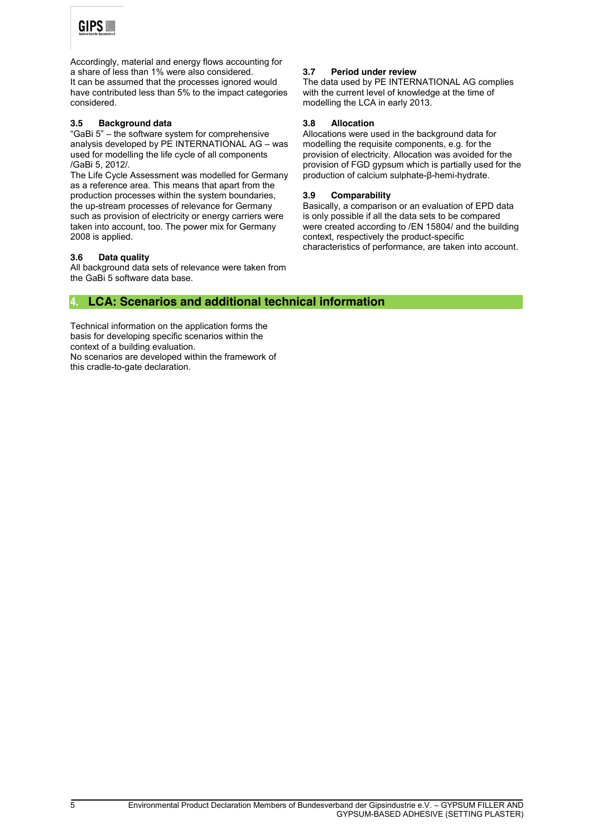

Accordingly, material and energy flows accounting for a share of less than 1% were also considered. It can be assumed that the processes ignored would have contributed less than 5% to the impact categories considered.

#### **3.5 Background data**

"GaBi 5" – the software system for comprehensive analysis developed by  $P\acute{E}$  INTERNATIONAL AG – was used for modelling the life cycle of all components /GaBi 5, 2012/.

The Life Cycle Assessment was modelled for Germany as a reference area. This means that apart from the production processes within the system boundaries, the up-stream processes of relevance for Germany such as provision of electricity or energy carriers were taken into account, too. The power mix for Germany 2008 is applied.

#### **3.6 Data quality**

All background data sets of relevance were taken from the GaBi 5 software data base.

#### **3.7 Period under review**

The data used by PE INTERNATIONAL AG complies with the current level of knowledge at the time of modelling the LCA in early 2013.

#### **3.8 Allocation**

Allocations were used in the background data for modelling the requisite components, e.g. for the provision of electricity. Allocation was avoided for the provision of FGD gypsum which is partially used for the production of calcium sulphate-β-hemi-hydrate.

#### **3.9 Comparability**

Basically, a comparison or an evaluation of EPD data is only possible if all the data sets to be compared were created according to /EN 15804/ and the building context, respectively the product-specific characteristics of performance, are taken into account.

## **4. LCA: Scenarios and additional technical information**

Technical information on the application forms the basis for developing specific scenarios within the context of a building evaluation. No scenarios are developed within the framework of this cradle-to-gate declaration.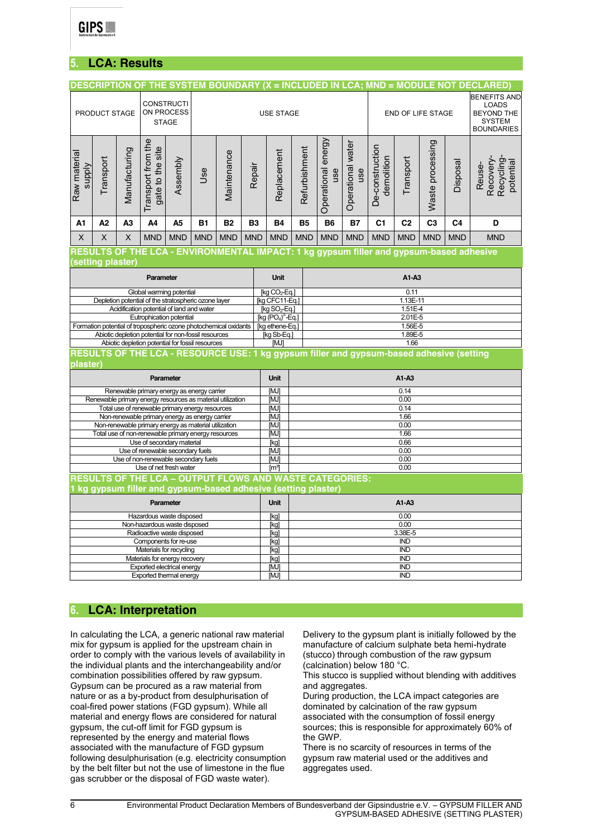

## **5. LCA: Results**

| <b>CONSTRUCTI</b><br>ON PROCESS<br>PRODUCT STAGE<br><b>STAGE</b>                                                                 |                   |                         | DESCRIPTION OF THE SYSTEM BOUNDARY (X = INCLUDED IN LCA; MND = MODULE NOT DECLARED)<br><b>USE STAGE</b> |                |                                                                                          |              |                       |                                                                            |               | END OF LIFE STAGE         |                          |                               |                | <b>BENEFITS AND</b><br><b>LOADS</b><br><b>BEYOND THE</b><br><b>SYSTEM</b><br><b>BOUNDARIES</b> |                |                                                                                         |  |
|----------------------------------------------------------------------------------------------------------------------------------|-------------------|-------------------------|---------------------------------------------------------------------------------------------------------|----------------|------------------------------------------------------------------------------------------|--------------|-----------------------|----------------------------------------------------------------------------|---------------|---------------------------|--------------------------|-------------------------------|----------------|------------------------------------------------------------------------------------------------|----------------|-----------------------------------------------------------------------------------------|--|
| Raw material<br>supply                                                                                                           | Transport         | Manufacturing           | Transport from the<br>gate to the site                                                                  | Assembly       | Jse                                                                                      | Maintenance  | Repair                | Replacement                                                                | Refurbishment | Operational energy<br>use | Operational water<br>use | De-construction<br>demolition | Transport      | Waste processing                                                                               | Disposal       | Recovery-<br>Recycling<br>potential<br>Reuse-                                           |  |
| Α1                                                                                                                               | A <sub>2</sub>    | A3                      | A <sub>4</sub>                                                                                          | A <sub>5</sub> | <b>B1</b>                                                                                | <b>B2</b>    | <b>B3</b>             | <b>B4</b>                                                                  | <b>B5</b>     | <b>B6</b>                 | <b>B7</b>                | C <sub>1</sub>                | C <sub>2</sub> | C <sub>3</sub>                                                                                 | C <sub>4</sub> | D                                                                                       |  |
| $\times$                                                                                                                         | $\times$          | $\overline{\mathsf{X}}$ | <b>MND</b>                                                                                              | <b>MND</b>     | <b>MND</b>                                                                               | <b>MND</b>   | <b>MND</b>            | <b>MND</b>                                                                 | <b>MND</b>    | <b>MND</b>                | <b>MND</b>               | <b>MND</b>                    | <b>MND</b>     | <b>MND</b>                                                                                     | <b>MND</b>     | <b>MND</b>                                                                              |  |
|                                                                                                                                  |                   |                         |                                                                                                         |                |                                                                                          |              |                       |                                                                            |               |                           |                          |                               |                |                                                                                                |                | RESULTS OF THE LCA - ENVIRONMENTAL IMPACT: 1 kg gypsum filler and gypsum-based adhesive |  |
|                                                                                                                                  | (setting plaster) |                         |                                                                                                         |                |                                                                                          |              |                       |                                                                            |               |                           |                          |                               |                |                                                                                                |                |                                                                                         |  |
|                                                                                                                                  |                   |                         | Parameter                                                                                               |                |                                                                                          |              |                       | <b>Unit</b>                                                                |               | A1-A3                     |                          |                               |                |                                                                                                |                |                                                                                         |  |
|                                                                                                                                  |                   |                         | Global warming potential                                                                                |                |                                                                                          |              |                       | [kg $CO_2$ -Eq.]                                                           | 0.11          |                           |                          |                               |                |                                                                                                |                |                                                                                         |  |
|                                                                                                                                  |                   |                         |                                                                                                         |                | Depletion potential of the stratospheric ozone layer                                     |              |                       | [kg CFC11-Eq.]                                                             | 1.13E-11      |                           |                          |                               |                |                                                                                                |                |                                                                                         |  |
|                                                                                                                                  |                   |                         | Acidification potential of land and water<br>Eutrophication potential                                   |                |                                                                                          |              |                       | [kg SO <sub>2</sub> -Eq.]<br>1.51E-4<br>$[kq (PO4)3 - Eq.]$<br>$2.01E - 5$ |               |                           |                          |                               |                |                                                                                                |                |                                                                                         |  |
|                                                                                                                                  |                   |                         |                                                                                                         |                |                                                                                          |              |                       | [kg ethene-Eq.]<br>1.56E-5                                                 |               |                           |                          |                               |                |                                                                                                |                |                                                                                         |  |
| Formation potential of tropospheric ozone photochemical oxidants<br>Abiotic depletion potential for non-fossil resources         |                   |                         |                                                                                                         |                |                                                                                          | [kg Sb-Eq.]  | 1.89E-5               |                                                                            |               |                           |                          |                               |                |                                                                                                |                |                                                                                         |  |
|                                                                                                                                  |                   |                         |                                                                                                         |                | Abiotic depletion potential for fossil resources                                         |              |                       | [MJ]                                                                       | 1.66          |                           |                          |                               |                |                                                                                                |                |                                                                                         |  |
| plaster)                                                                                                                         |                   |                         |                                                                                                         |                | RESULTS OF THE LCA - RESOURCE USE: 1 kg gypsum filler and gypsum-based adhesive (setting |              |                       |                                                                            |               |                           |                          |                               |                |                                                                                                |                |                                                                                         |  |
| Parameter                                                                                                                        |                   |                         |                                                                                                         |                |                                                                                          | <b>Unit</b>  |                       | A1-A3                                                                      |               |                           |                          |                               |                |                                                                                                |                |                                                                                         |  |
| Renewable primary energy as energy carrier                                                                                       |                   |                         |                                                                                                         |                |                                                                                          | [MJ]         |                       | 0.14                                                                       |               |                           |                          |                               |                |                                                                                                |                |                                                                                         |  |
| Renewable primary energy resources as material utilization                                                                       |                   |                         |                                                                                                         |                |                                                                                          | [MJ]         |                       | 0.00                                                                       |               |                           |                          |                               |                |                                                                                                |                |                                                                                         |  |
|                                                                                                                                  |                   |                         |                                                                                                         |                | Total use of renewable primary energy resources                                          |              |                       | [MJ]                                                                       |               | 0.14                      |                          |                               |                |                                                                                                |                |                                                                                         |  |
| Non-renewable primary energy as energy carrier                                                                                   |                   |                         |                                                                                                         |                |                                                                                          | [MJ]<br>[MJ] |                       | 1.66<br>0.00                                                               |               |                           |                          |                               |                |                                                                                                |                |                                                                                         |  |
| Non-renewable primary energy as material utilization<br>Total use of non-renewable primary energy resources                      |                   |                         |                                                                                                         |                |                                                                                          | [MJ]         |                       | 1.66                                                                       |               |                           |                          |                               |                |                                                                                                |                |                                                                                         |  |
| Use of secondary material                                                                                                        |                   |                         |                                                                                                         |                |                                                                                          | [kg]         |                       | 0.66                                                                       |               |                           |                          |                               |                |                                                                                                |                |                                                                                         |  |
|                                                                                                                                  |                   |                         | Use of renewable secondary fuels                                                                        |                |                                                                                          |              |                       | [MJ]                                                                       | 0.00          |                           |                          |                               |                |                                                                                                |                |                                                                                         |  |
|                                                                                                                                  |                   |                         |                                                                                                         |                | Use of non-renewable secondary fuels                                                     |              |                       | [MJ]                                                                       | 0.00          |                           |                          |                               |                |                                                                                                |                |                                                                                         |  |
|                                                                                                                                  |                   |                         | Use of net fresh water                                                                                  |                |                                                                                          |              |                       | $\text{Im}^3$                                                              |               |                           |                          |                               | 0.00           |                                                                                                |                |                                                                                         |  |
| <b>RESULTS OF THE LCA - OUTPUT FLOWS AND WASTE CATEGORIES:</b><br>1 kg gypsum filler and gypsum-based adhesive (setting plaster) |                   |                         |                                                                                                         |                |                                                                                          |              |                       |                                                                            |               |                           |                          |                               |                |                                                                                                |                |                                                                                         |  |
| Parameter                                                                                                                        |                   |                         |                                                                                                         |                | <b>Unit</b>                                                                              | A1-A3        |                       |                                                                            |               |                           |                          |                               |                |                                                                                                |                |                                                                                         |  |
| Hazardous waste disposed                                                                                                         |                   |                         |                                                                                                         |                |                                                                                          | [kg]         | 0.00                  |                                                                            |               |                           |                          |                               |                |                                                                                                |                |                                                                                         |  |
| Non-hazardous waste disposed<br>Radioactive waste disposed                                                                       |                   |                         |                                                                                                         |                |                                                                                          | [kg]         | 0.00<br>[kg]          |                                                                            |               |                           |                          |                               |                |                                                                                                |                |                                                                                         |  |
| Components for re-use                                                                                                            |                   |                         |                                                                                                         |                |                                                                                          | [kg]         | 3.38E-5<br><b>IND</b> |                                                                            |               |                           |                          |                               |                |                                                                                                |                |                                                                                         |  |
| Materials for recycling                                                                                                          |                   |                         |                                                                                                         |                | [kg]                                                                                     | <b>IND</b>   |                       |                                                                            |               |                           |                          |                               |                |                                                                                                |                |                                                                                         |  |
| Materials for energy recovery                                                                                                    |                   |                         |                                                                                                         |                | [kg]                                                                                     | <b>IND</b>   |                       |                                                                            |               |                           |                          |                               |                |                                                                                                |                |                                                                                         |  |
| Exported electrical energy                                                                                                       |                   |                         |                                                                                                         |                | [MJ]                                                                                     | <b>IND</b>   |                       |                                                                            |               |                           |                          |                               |                |                                                                                                |                |                                                                                         |  |
| Exported thermal energy                                                                                                          |                   |                         |                                                                                                         |                | [MJ]                                                                                     |              | <b>IND</b>            |                                                                            |               |                           |                          |                               |                |                                                                                                |                |                                                                                         |  |
|                                                                                                                                  |                   |                         |                                                                                                         |                |                                                                                          |              |                       |                                                                            |               |                           |                          |                               |                |                                                                                                |                |                                                                                         |  |

## **6. LCA: Interpretation**

In calculating the LCA, a generic national raw material mix for gypsum is applied for the upstream chain in order to comply with the various levels of availability in the individual plants and the interchangeability and/or combination possibilities offered by raw gypsum. Gypsum can be procured as a raw material from nature or as a by-product from desulphurisation of coal-fired power stations (FGD gypsum). While all material and energy flows are considered for natural gypsum, the cut-off limit for FGD gypsum is represented by the energy and material flows associated with the manufacture of FGD gypsum following desulphurisation (e.g. electricity consumption by the belt filter but not the use of limestone in the flue gas scrubber or the disposal of FGD waste water).

Delivery to the gypsum plant is initially followed by the manufacture of calcium sulphate beta hemi-hydrate (stucco) through combustion of the raw gypsum (calcination) below 180 °C.

This stucco is supplied without blending with additives and aggregates.

During production, the LCA impact categories are dominated by calcination of the raw gypsum associated with the consumption of fossil energy sources; this is responsible for approximately 60% of the GWP.

There is no scarcity of resources in terms of the gypsum raw material used or the additives and aggregates used.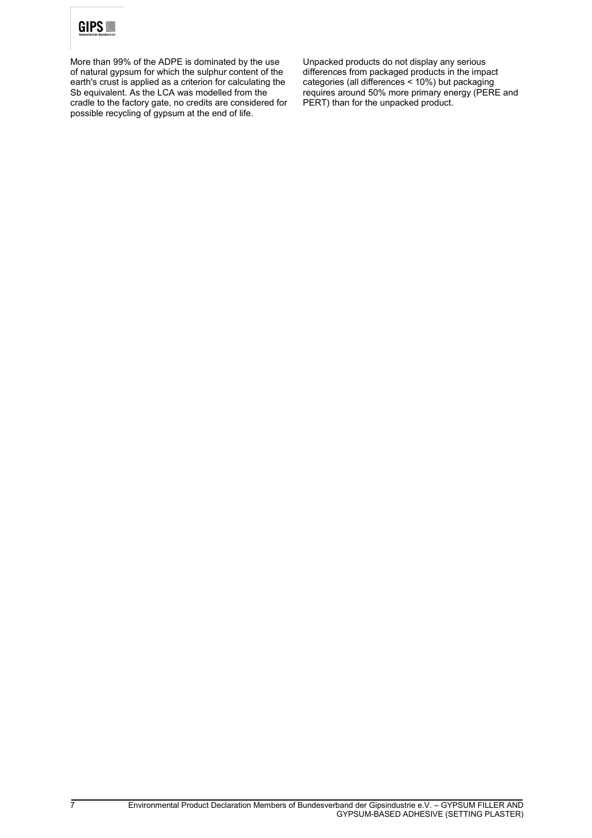

More than 99% of the ADPE is dominated by the use of natural gypsum for which the sulphur content of the earth's crust is applied as a criterion for calculating the Sb equivalent. As the LCA was modelled from the cradle to the factory gate, no credits are considered for possible recycling of gypsum at the end of life.

Unpacked products do not display any serious differences from packaged products in the impact categories (all differences < 10%) but packaging requires around 50% more primary energy (PERE and PERT) than for the unpacked product.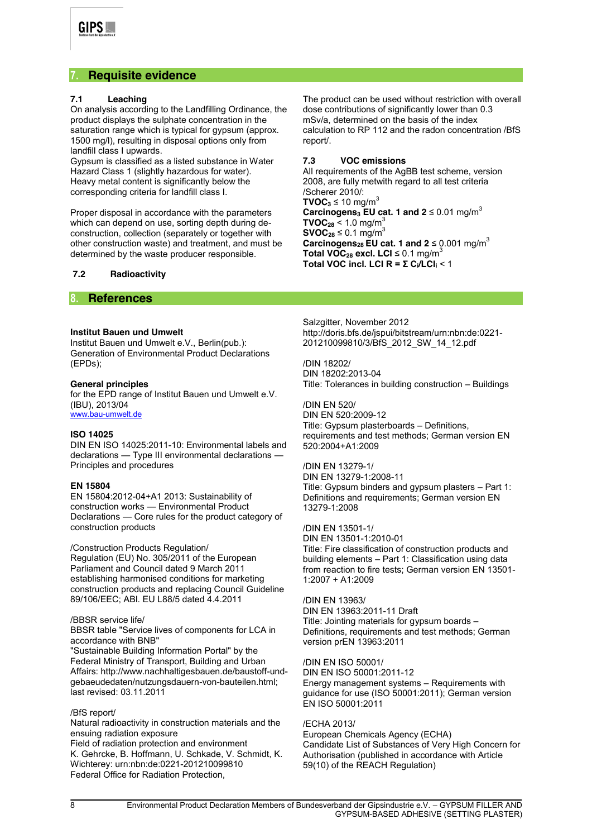## **7. Requisite evidence**

#### **7.1 Leaching**

On analysis according to the Landfilling Ordinance, the product displays the sulphate concentration in the saturation range which is typical for gypsum (approx. 1500 mg/l), resulting in disposal options only from landfill class I upwards.

Gypsum is classified as a listed substance in Water Hazard Class 1 (slightly hazardous for water). Heavy metal content is significantly below the corresponding criteria for landfill class I.

Proper disposal in accordance with the parameters which can depend on use, sorting depth during deconstruction, collection (separately or together with other construction waste) and treatment, and must be determined by the waste producer responsible.

**7.2 Radioactivity**

#### The product can be used without restriction with overall dose contributions of significantly lower than 0.3 mSv/a, determined on the basis of the index calculation to RP 112 and the radon concentration /BfS report/.

#### **7.3 VOC emissions**

All requirements of the AgBB test scheme, version 2008, are fully metwith regard to all test criteria /Scherer 2010/: **TVOC**<sub>3</sub> ≤ 10 mg/m<sup>3</sup> **Carcinogens<sub>3</sub> <b>EU** cat. 1 and  $2 \le 0.01$  mg/m<sup>3</sup> **TVOC<sub>28</sub>** < 1.0 mg/m<sup>3</sup> **SVOC<sub>28</sub>**  $\leq$  0.1 mg/m<sup>3</sup> **Carcinogens<sub>28</sub> EU cat. 1 and 2**  $\leq$  0.001 mg/m<sup>3</sup> **Total VOC<sub>28</sub> excl. LCI**  $\leq$  0.1 mg/m<sup>3</sup> Total VOC incl. LCI  $R = \sum C_i / LCI_i < 1$ 

### **8. References**

#### **Institut Bauen und Umwelt**

Institut Bauen und Umwelt e.V., Berlin(pub.): Generation of Environmental Product Declarations (EPDs);

#### **General principles**

for the EPD range of Institut Bauen und Umwelt e.V. (IBU), 2013/04 [www.bau-umwelt.de](http://www.bau-umwelt.de/)

#### **ISO 14025**

DIN EN ISO 14025:2011-10: Environmental labels and declarations — Type III environmental declarations — Principles and procedures

#### **EN 15804**

EN 15804:2012-04+A1 2013: Sustainability of construction works — Environmental Product Declarations — Core rules for the product category of construction products

#### /Construction Products Regulation/

Regulation (EU) No. 305/2011 of the European Parliament and Council dated 9 March 2011 establishing harmonised conditions for marketing construction products and replacing Council Guideline 89/106/EEC; ABl. EU L88/5 dated 4.4.2011

#### /BBSR service life/

BBSR table "Service lives of components for LCA in accordance with BNB"

"Sustainable Building Information Portal" by the Federal Ministry of Transport, Building and Urban Affairs: http://www.nachhaltigesbauen.de/baustoff-undgebaeudedaten/nutzungsdauern-von-bauteilen.html; last revised: 03.11.2011

#### /BfS report/

Natural radioactivity in construction materials and the ensuing radiation exposure

Field of radiation protection and environment K. Gehrcke, B. Hoffmann, U. Schkade, V. Schmidt, K. Wichterey: urn:nbn:de:0221-201210099810 Federal Office for Radiation Protection,

Salzgitter, November 2012 http://doris.bfs.de/jspui/bitstream/urn:nbn:de:0221- 201210099810/3/BfS\_2012\_SW\_14\_12.pdf

/DIN 18202/ DIN 18202:2013-04 Title: Tolerances in building construction – Buildings

/DIN EN 520/ DIN EN 520:2009-12 Title: Gypsum plasterboards – Definitions, requirements and test methods; German version EN 520:2004+A1:2009

/DIN EN 13279-1/ DIN EN 13279-1:2008-11 Title: Gypsum binders and gypsum plasters – Part 1: Definitions and requirements; German version EN 13279-1:2008

/DIN EN 13501-1/ DIN EN 13501-1:2010-01 Title: Fire classification of construction products and building elements – Part 1: Classification using data from reaction to fire tests; German version EN 13501- 1:2007 + A1:2009

/DIN EN 13963/ DIN EN 13963:2011-11 Draft Title: Jointing materials for gypsum boards – Definitions, requirements and test methods; German version prEN 13963:2011

/DIN EN ISO 50001/ DIN EN ISO 50001:2011-12 Energy management systems – Requirements with guidance for use (ISO 50001:2011); German version EN ISO 50001:2011

#### /ECHA 2013/

European Chemicals Agency (ECHA) Candidate List of Substances of Very High Concern for Authorisation (published in accordance with Article 59(10) of the REACH Regulation)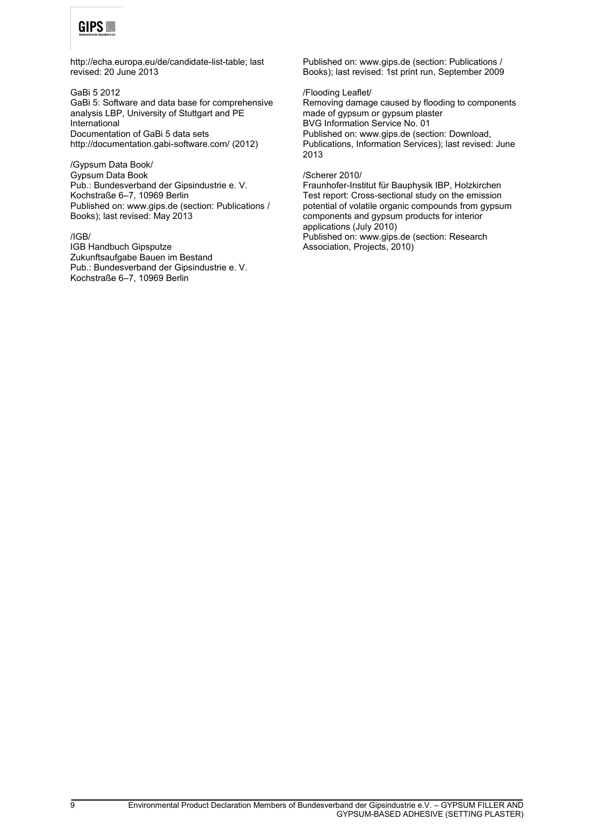

http://echa.europa.eu/de/candidate-list-table; last revised: 20 June 2013

GaBi 5 2012 GaBi 5: Software and data base for comprehensive analysis LBP, University of Stuttgart and PE International Documentation of GaBi 5 data sets http://documentation.gabi-software.com/ (2012)

/Gypsum Data Book/ Gypsum Data Book Pub.: Bundesverband der Gipsindustrie e. V. Kochstraße 6–7, 10969 Berlin Published on: www.gips.de (section: Publications / Books); last revised: May 2013

/IGB/ IGB Handbuch Gipsputze Zukunftsaufgabe Bauen im Bestand Pub.: Bundesverband der Gipsindustrie e. V. Kochstraße 6–7, 10969 Berlin

Published on: www.gips.de (section: Publications / Books); last revised: 1st print run, September 2009

#### /Flooding Leaflet/

Removing damage caused by flooding to components made of gypsum or gypsum plaster BVG Information Service No. 01 Published on: www.gips.de (section: Download, Publications, Information Services); last revised: June 2013

#### /Scherer 2010/

Fraunhofer-Institut für Bauphysik IBP, Holzkirchen Test report: Cross-sectional study on the emission potential of volatile organic compounds from gypsum components and gypsum products for interior applications (July 2010) Published on: www.gips.de (section: Research Association, Projects, 2010)